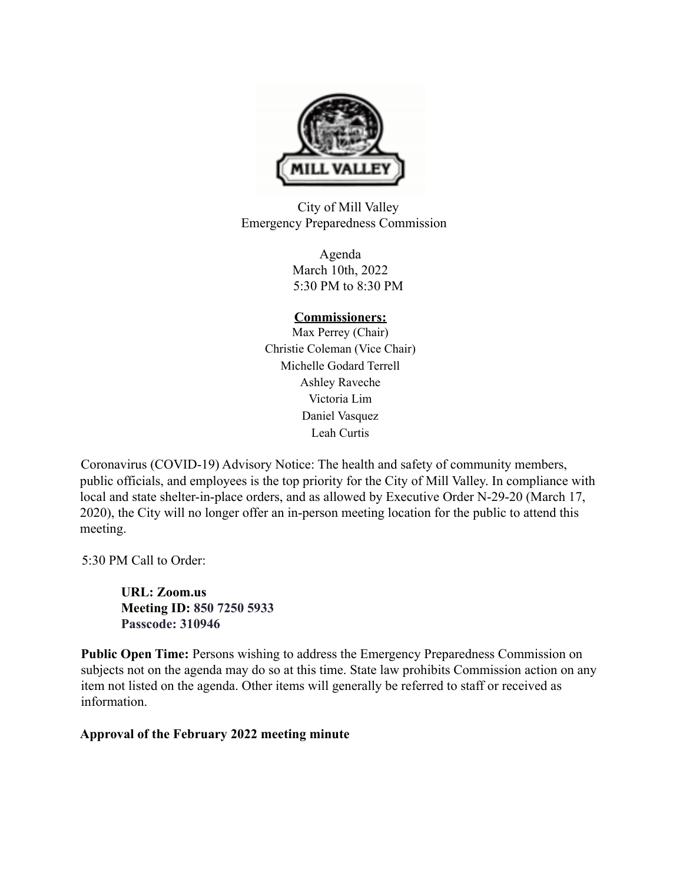

City of Mill Valley Emergency Preparedness Commission

> Agenda March 10th, 2022 5:30 PM to 8:30 PM

## **Commissioners:**

Max Perrey (Chair) Christie Coleman (Vice Chair) Michelle Godard Terrell Ashley Raveche Victoria Lim Daniel Vasquez Leah Curtis

Coronavirus (COVID-19) Advisory Notice: The health and safety of community members, public officials, and employees is the top priority for the City of Mill Valley. In compliance with local and state shelter-in-place orders, and as allowed by Executive Order N-29-20 (March 17, 2020), the City will no longer offer an in-person meeting location for the public to attend this meeting.

5:30 PM Call to Order:

**URL: Zoom.us Meeting ID: 850 7250 5933 Passcode: 310946**

**Public Open Time:** Persons wishing to address the Emergency Preparedness Commission on subjects not on the agenda may do so at this time. State law prohibits Commission action on any item not listed on the agenda. Other items will generally be referred to staff or received as information.

**Approval of the February 2022 meeting minute**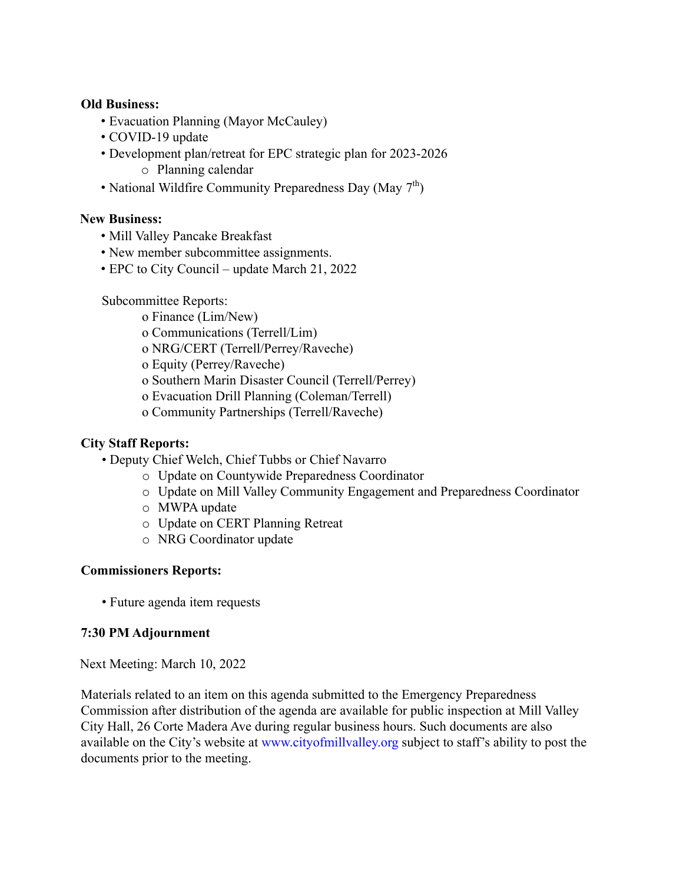### **Old Business:**

- Evacuation Planning (Mayor McCauley)
- COVID-19 update
- Development plan/retreat for EPC strategic plan for 2023-2026
	- o Planning calendar
- National Wildfire Community Preparedness Day (May 7<sup>th</sup>)

# **New Business:**

- Mill Valley Pancake Breakfast
- New member subcommittee assignments.
- EPC to City Council update March 21, 2022

Subcommittee Reports:

- o Finance (Lim/New)
- o Communications (Terrell/Lim)
- o NRG/CERT (Terrell/Perrey/Raveche)
- o Equity (Perrey/Raveche)
- o Southern Marin Disaster Council (Terrell/Perrey)
- o Evacuation Drill Planning (Coleman/Terrell)
- o Community Partnerships (Terrell/Raveche)

## **City Staff Reports:**

- Deputy Chief Welch, Chief Tubbs or Chief Navarro
	- o Update on Countywide Preparedness Coordinator
	- o Update on Mill Valley Community Engagement and Preparedness Coordinator
	- o MWPA update
	- o Update on CERT Planning Retreat
	- o NRG Coordinator update

## **Commissioners Reports:**

• Future agenda item requests

## **7:30 PM Adjournment**

Next Meeting: March 10, 2022

Materials related to an item on this agenda submitted to the Emergency Preparedness Commission after distribution of the agenda are available for public inspection at Mill Valley City Hall, 26 Corte Madera Ave during regular business hours. Such documents are also available on the City's website at www.cityofmillvalley.org subject to staff's ability to post the documents prior to the meeting.